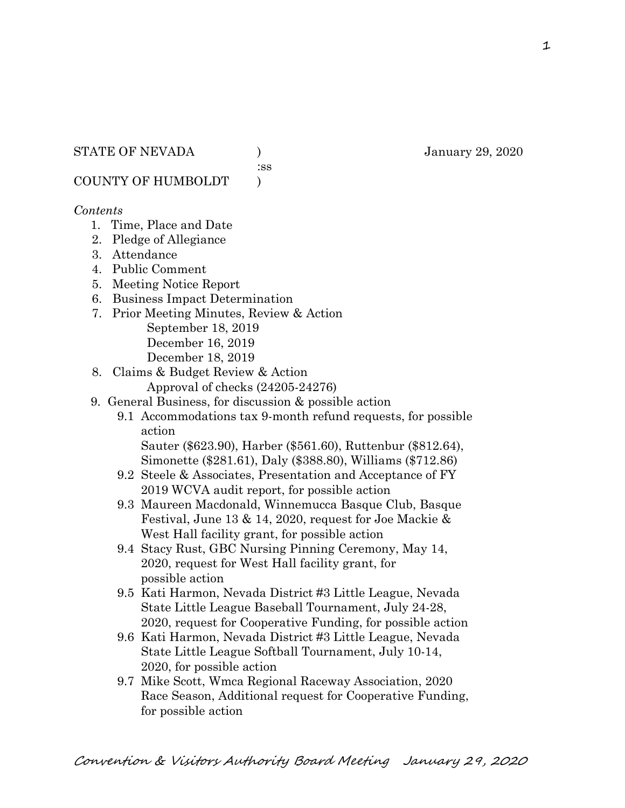:ss

COUNTY OF HUMBOLDT )

#### *Contents*

- 1. Time, Place and Date
- 2. Pledge of Allegiance
- 3. Attendance
- 4. Public Comment
- 5. Meeting Notice Report
- 6. Business Impact Determination
- 7. Prior Meeting Minutes, Review & Action September 18, 2019 December 16, 2019 December 18, 2019
- 8. Claims & Budget Review & Action
	- Approval of checks (24205-24276)
- 9. General Business, for discussion & possible action
	- 9.1 Accommodations tax 9-month refund requests, for possible action
		- Sauter (\$623.90), Harber (\$561.60), Ruttenbur (\$812.64), Simonette (\$281.61), Daly (\$388.80), Williams (\$712.86)
	- 9.2 Steele & Associates, Presentation and Acceptance of FY 2019 WCVA audit report, for possible action
	- 9.3 Maureen Macdonald, Winnemucca Basque Club, Basque Festival, June 13 & 14, 2020, request for Joe Mackie & West Hall facility grant, for possible action
	- 9.4 Stacy Rust, GBC Nursing Pinning Ceremony, May 14, 2020, request for West Hall facility grant, for possible action
	- 9.5 Kati Harmon, Nevada District #3 Little League, Nevada State Little League Baseball Tournament, July 24-28, 2020, request for Cooperative Funding, for possible action
	- 9.6 Kati Harmon, Nevada District #3 Little League, Nevada State Little League Softball Tournament, July 10-14, 2020, for possible action
	- 9.7 Mike Scott, Wmca Regional Raceway Association, 2020 Race Season, Additional request for Cooperative Funding, for possible action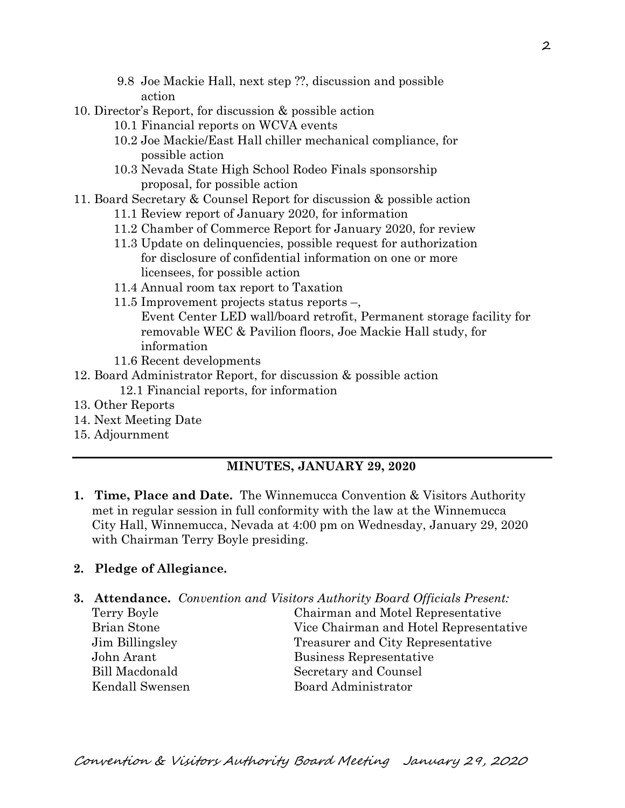- 9.8 Joe Mackie Hall, next step ??, discussion and possible action
- 10. Director's Report, for discussion & possible action
	- 10.1 Financial reports on WCVA events
	- 10.2 Joe Mackie/East Hall chiller mechanical compliance, for possible action
	- 10.3 Nevada State High School Rodeo Finals sponsorship proposal, for possible action
- 11. Board Secretary & Counsel Report for discussion & possible action
	- 11.1 Review report of January 2020, for information
	- 11.2 Chamber of Commerce Report for January 2020, for review
	- 11.3 Update on delinquencies, possible request for authorization for disclosure of confidential information on one or more licensees, for possible action
	- 11.4 Annual room tax report to Taxation
	- 11.5 Improvement projects status reports –,
		- Event Center LED wall/board retrofit, Permanent storage facility for removable WEC & Pavilion floors, Joe Mackie Hall study, for information
	- 11.6 Recent developments
- 12. Board Administrator Report, for discussion & possible action 12.1 Financial reports, for information
- 13. Other Reports
- 14. Next Meeting Date
- 15. Adjournment

# **MINUTES, JANUARY 29, 2020**

**1. Time, Place and Date.** The Winnemucca Convention & Visitors Authority met in regular session in full conformity with the law at the Winnemucca City Hall, Winnemucca, Nevada at 4:00 pm on Wednesday, January 29, 2020 with Chairman Terry Boyle presiding.

# **2. Pledge of Allegiance.**

**3. Attendance.** *Convention and Visitors Authority Board Officials Present:* Terry Boyle Chairman and Motel Representative Brian Stone Vice Chairman and Hotel Representative Jim Billingsley Treasurer and City Representative John Arant Business Representative Bill Macdonald Secretary and Counsel Kendall Swensen Board Administrator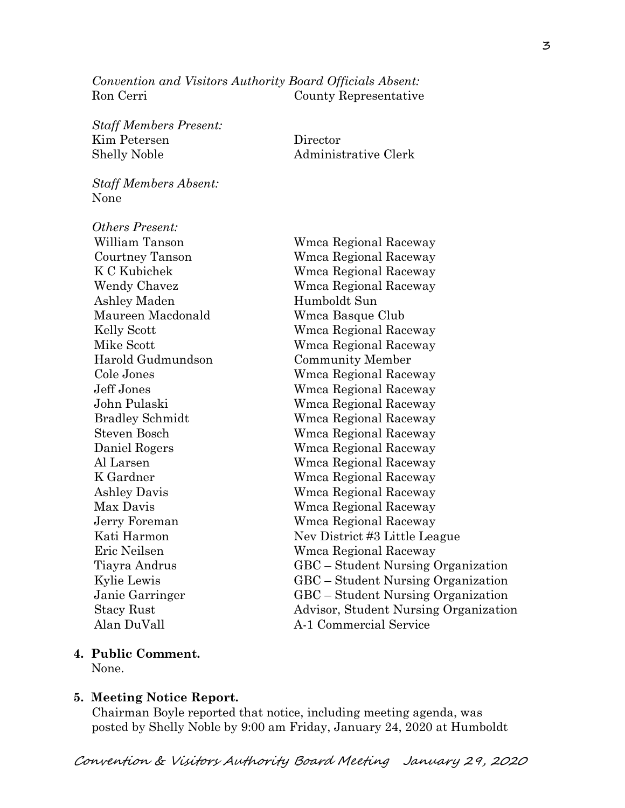*Convention and Visitors Authority Board Officials Absent:* Ron Cerri County Representative

*Staff Members Present:* Kim Petersen Director Shelly Noble Administrative Clerk

*Staff Members Absent:* None

| <b>Others Present:</b> |                                       |
|------------------------|---------------------------------------|
| William Tanson         | Wmca Regional Raceway                 |
| Courtney Tanson        | Wmca Regional Raceway                 |
| K C Kubichek           | Wmca Regional Raceway                 |
| <b>Wendy Chavez</b>    | Wmca Regional Raceway                 |
| Ashley Maden           | Humboldt Sun                          |
| Maureen Macdonald      | Wmca Basque Club                      |
| Kelly Scott            | Wmca Regional Raceway                 |
| Mike Scott             | Wmca Regional Raceway                 |
| Harold Gudmundson      | <b>Community Member</b>               |
| Cole Jones             | Wmca Regional Raceway                 |
| Jeff Jones             | Wmca Regional Raceway                 |
| John Pulaski           | Wmca Regional Raceway                 |
| <b>Bradley Schmidt</b> | Wmca Regional Raceway                 |
| <b>Steven Bosch</b>    | Wmca Regional Raceway                 |
| Daniel Rogers          | Wmca Regional Raceway                 |
| Al Larsen              | Wmca Regional Raceway                 |
| K Gardner              | Wmca Regional Raceway                 |
| <b>Ashley Davis</b>    | Wmca Regional Raceway                 |
| Max Davis              | Wmca Regional Raceway                 |
| Jerry Foreman          | Wmca Regional Raceway                 |
| Kati Harmon            | Nev District #3 Little League         |
| Eric Neilsen           | Wmca Regional Raceway                 |
| Tiayra Andrus          | GBC – Student Nursing Organization    |
| Kylie Lewis            | GBC – Student Nursing Organization    |
| Janie Garringer        | GBC – Student Nursing Organization    |
| <b>Stacy Rust</b>      | Advisor, Student Nursing Organization |
| Alan DuVall            | A-1 Commercial Service                |
|                        |                                       |

# **4. Public Comment.**

None.

#### **5. Meeting Notice Report.**

Chairman Boyle reported that notice, including meeting agenda, was posted by Shelly Noble by 9:00 am Friday, January 24, 2020 at Humboldt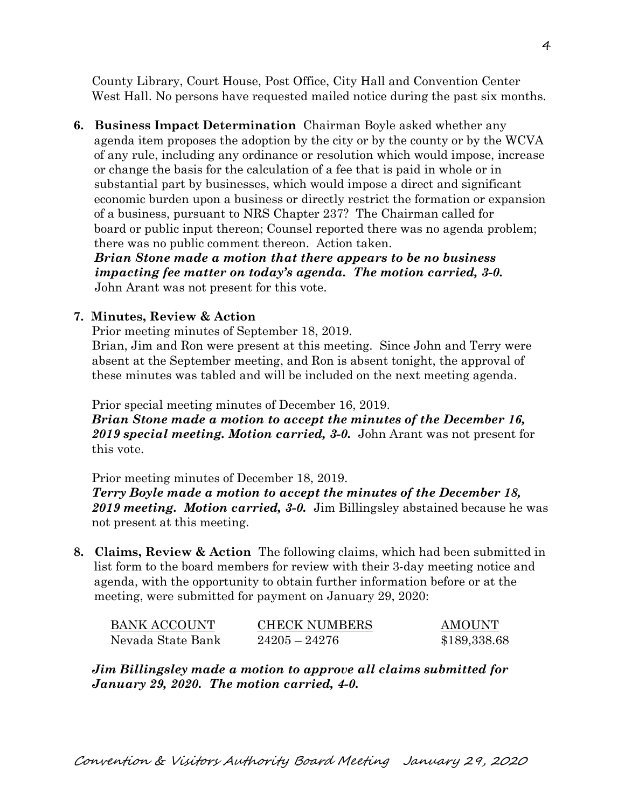County Library, Court House, Post Office, City Hall and Convention Center West Hall. No persons have requested mailed notice during the past six months.

**6. Business Impact Determination** Chairman Boyle asked whether any agenda item proposes the adoption by the city or by the county or by the WCVA of any rule, including any ordinance or resolution which would impose, increase or change the basis for the calculation of a fee that is paid in whole or in substantial part by businesses, which would impose a direct and significant economic burden upon a business or directly restrict the formation or expansion of a business, pursuant to NRS Chapter 237? The Chairman called for board or public input thereon; Counsel reported there was no agenda problem; there was no public comment thereon. Action taken.

 *Brian Stone made a motion that there appears to be no business impacting fee matter on today's agenda. The motion carried, 3-0.* John Arant was not present for this vote.

# **7. Minutes, Review & Action**

Prior meeting minutes of September 18, 2019.

Brian, Jim and Ron were present at this meeting. Since John and Terry were absent at the September meeting, and Ron is absent tonight, the approval of these minutes was tabled and will be included on the next meeting agenda.

Prior special meeting minutes of December 16, 2019.

*Brian Stone made a motion to accept the minutes of the December 16, 2019 special meeting. Motion carried, 3-0.* John Arant was not present for this vote.

Prior meeting minutes of December 18, 2019.

*Terry Boyle made a motion to accept the minutes of the December 18, 2019 meeting. Motion carried, 3-0.* Jim Billingsley abstained because he was not present at this meeting.

**8. Claims, Review & Action** The following claims, which had been submitted in list form to the board members for review with their 3-day meeting notice and agenda, with the opportunity to obtain further information before or at the meeting, were submitted for payment on January 29, 2020:

| <b>BANK ACCOUNT</b> | <b>CHECK NUMBERS</b> | <b>AMOUNT</b> |
|---------------------|----------------------|---------------|
| Nevada State Bank   | $24205 - 24276$      | \$189,338.68  |

*Jim Billingsley made a motion to approve all claims submitted for January 29, 2020. The motion carried, 4-0.*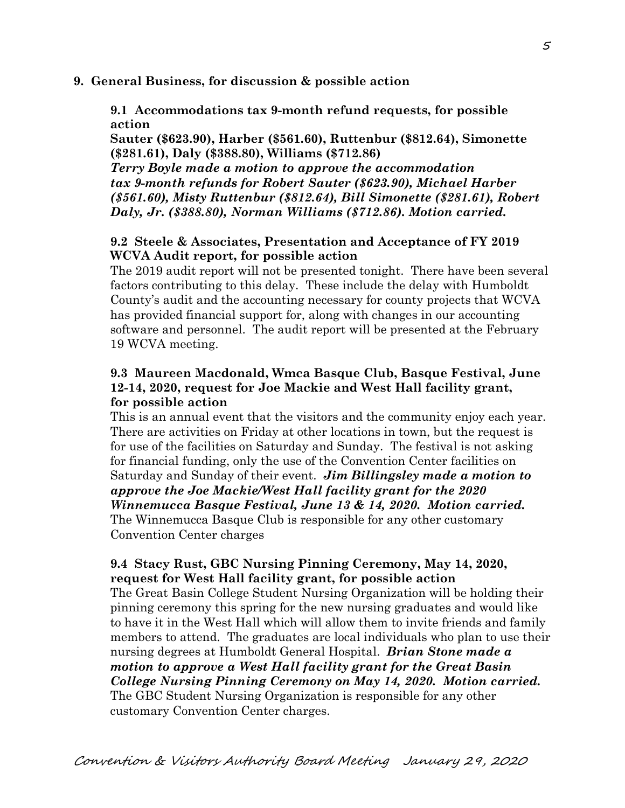#### **9. General Business, for discussion & possible action**

**9.1 Accommodations tax 9-month refund requests, for possible action**

**Sauter (\$623.90), Harber (\$561.60), Ruttenbur (\$812.64), Simonette (\$281.61), Daly (\$388.80), Williams (\$712.86)**

*Terry Boyle made a motion to approve the accommodation tax 9-month refunds for Robert Sauter (\$623.90), Michael Harber (\$561.60), Misty Ruttenbur (\$812.64), Bill Simonette (\$281.61), Robert Daly, Jr. (\$388.80), Norman Williams (\$712.86). Motion carried.* 

#### **9.2 Steele & Associates, Presentation and Acceptance of FY 2019 WCVA Audit report, for possible action**

The 2019 audit report will not be presented tonight. There have been several factors contributing to this delay. These include the delay with Humboldt County's audit and the accounting necessary for county projects that WCVA has provided financial support for, along with changes in our accounting software and personnel. The audit report will be presented at the February 19 WCVA meeting.

#### **9.3 Maureen Macdonald, Wmca Basque Club, Basque Festival, June 12-14, 2020, request for Joe Mackie and West Hall facility grant, for possible action**

This is an annual event that the visitors and the community enjoy each year. There are activities on Friday at other locations in town, but the request is for use of the facilities on Saturday and Sunday. The festival is not asking for financial funding, only the use of the Convention Center facilities on Saturday and Sunday of their event. *Jim Billingsley made a motion to approve the Joe Mackie/West Hall facility grant for the 2020 Winnemucca Basque Festival, June 13 & 14, 2020. Motion carried.*  The Winnemucca Basque Club is responsible for any other customary Convention Center charges

### **9.4 Stacy Rust, GBC Nursing Pinning Ceremony, May 14, 2020, request for West Hall facility grant, for possible action**

The Great Basin College Student Nursing Organization will be holding their pinning ceremony this spring for the new nursing graduates and would like to have it in the West Hall which will allow them to invite friends and family members to attend. The graduates are local individuals who plan to use their nursing degrees at Humboldt General Hospital. *Brian Stone made a motion to approve a West Hall facility grant for the Great Basin College Nursing Pinning Ceremony on May 14, 2020. Motion carried.*  The GBC Student Nursing Organization is responsible for any other customary Convention Center charges.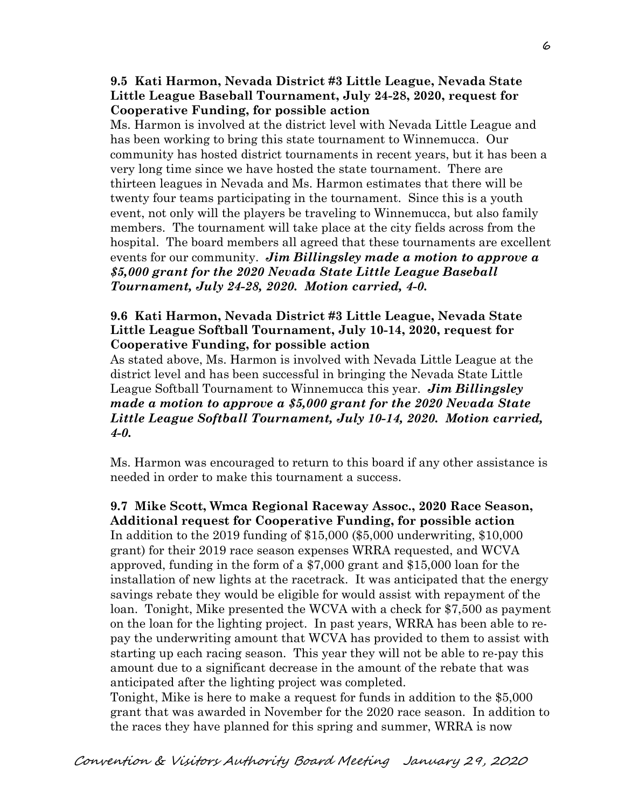#### **9.5 Kati Harmon, Nevada District #3 Little League, Nevada State Little League Baseball Tournament, July 24-28, 2020, request for Cooperative Funding, for possible action**

Ms. Harmon is involved at the district level with Nevada Little League and has been working to bring this state tournament to Winnemucca. Our community has hosted district tournaments in recent years, but it has been a very long time since we have hosted the state tournament. There are thirteen leagues in Nevada and Ms. Harmon estimates that there will be twenty four teams participating in the tournament. Since this is a youth event, not only will the players be traveling to Winnemucca, but also family members. The tournament will take place at the city fields across from the hospital. The board members all agreed that these tournaments are excellent events for our community. *Jim Billingsley made a motion to approve a \$5,000 grant for the 2020 Nevada State Little League Baseball Tournament, July 24-28, 2020. Motion carried, 4-0.* 

#### **9.6 Kati Harmon, Nevada District #3 Little League, Nevada State Little League Softball Tournament, July 10-14, 2020, request for Cooperative Funding, for possible action**

As stated above, Ms. Harmon is involved with Nevada Little League at the district level and has been successful in bringing the Nevada State Little League Softball Tournament to Winnemucca this year. *Jim Billingsley made a motion to approve a \$5,000 grant for the 2020 Nevada State Little League Softball Tournament, July 10-14, 2020. Motion carried, 4-0.* 

Ms. Harmon was encouraged to return to this board if any other assistance is needed in order to make this tournament a success.

# **9.7 Mike Scott, Wmca Regional Raceway Assoc., 2020 Race Season, Additional request for Cooperative Funding, for possible action**

In addition to the 2019 funding of \$15,000 (\$5,000 underwriting, \$10,000 grant) for their 2019 race season expenses WRRA requested, and WCVA approved, funding in the form of a \$7,000 grant and \$15,000 loan for the installation of new lights at the racetrack. It was anticipated that the energy savings rebate they would be eligible for would assist with repayment of the loan. Tonight, Mike presented the WCVA with a check for \$7,500 as payment on the loan for the lighting project. In past years, WRRA has been able to repay the underwriting amount that WCVA has provided to them to assist with starting up each racing season. This year they will not be able to re-pay this amount due to a significant decrease in the amount of the rebate that was anticipated after the lighting project was completed.

Tonight, Mike is here to make a request for funds in addition to the \$5,000 grant that was awarded in November for the 2020 race season. In addition to the races they have planned for this spring and summer, WRRA is now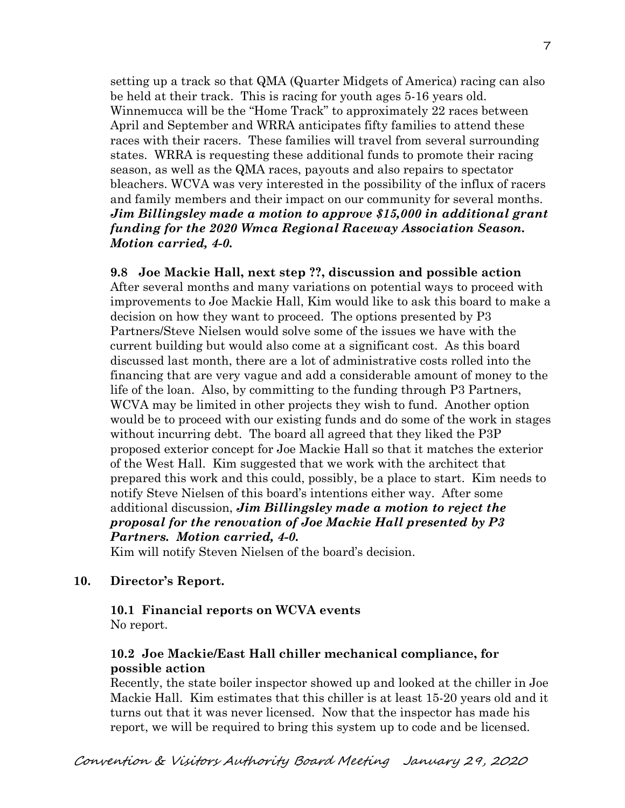setting up a track so that QMA (Quarter Midgets of America) racing can also be held at their track. This is racing for youth ages 5-16 years old. Winnemucca will be the "Home Track" to approximately 22 races between April and September and WRRA anticipates fifty families to attend these races with their racers. These families will travel from several surrounding states. WRRA is requesting these additional funds to promote their racing season, as well as the QMA races, payouts and also repairs to spectator bleachers. WCVA was very interested in the possibility of the influx of racers and family members and their impact on our community for several months. *Jim Billingsley made a motion to approve \$15,000 in additional grant funding for the 2020 Wmca Regional Raceway Association Season. Motion carried, 4-0.* 

#### **9.8 Joe Mackie Hall, next step ??, discussion and possible action**

After several months and many variations on potential ways to proceed with improvements to Joe Mackie Hall, Kim would like to ask this board to make a decision on how they want to proceed. The options presented by P3 Partners/Steve Nielsen would solve some of the issues we have with the current building but would also come at a significant cost. As this board discussed last month, there are a lot of administrative costs rolled into the financing that are very vague and add a considerable amount of money to the life of the loan. Also, by committing to the funding through P3 Partners, WCVA may be limited in other projects they wish to fund. Another option would be to proceed with our existing funds and do some of the work in stages without incurring debt. The board all agreed that they liked the P3P proposed exterior concept for Joe Mackie Hall so that it matches the exterior of the West Hall. Kim suggested that we work with the architect that prepared this work and this could, possibly, be a place to start. Kim needs to notify Steve Nielsen of this board's intentions either way. After some additional discussion, *Jim Billingsley made a motion to reject the proposal for the renovation of Joe Mackie Hall presented by P3 Partners. Motion carried, 4-0.* 

Kim will notify Steven Nielsen of the board's decision.

#### **10. Director's Report.**

#### **10.1 Financial reports on WCVA events**

No report.

#### **10.2 Joe Mackie/East Hall chiller mechanical compliance, for possible action**

Recently, the state boiler inspector showed up and looked at the chiller in Joe Mackie Hall. Kim estimates that this chiller is at least 15-20 years old and it turns out that it was never licensed. Now that the inspector has made his report, we will be required to bring this system up to code and be licensed.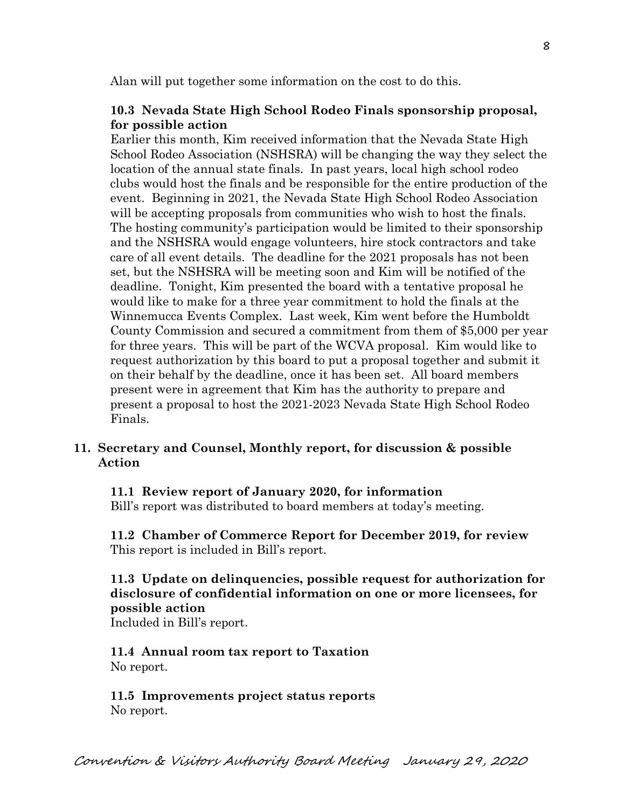Alan will put together some information on the cost to do this.

#### **10.3 Nevada State High School Rodeo Finals sponsorship proposal, for possible action**

Earlier this month, Kim received information that the Nevada State High School Rodeo Association (NSHSRA) will be changing the way they select the location of the annual state finals. In past years, local high school rodeo clubs would host the finals and be responsible for the entire production of the event. Beginning in 2021, the Nevada State High School Rodeo Association will be accepting proposals from communities who wish to host the finals. The hosting community's participation would be limited to their sponsorship and the NSHSRA would engage volunteers, hire stock contractors and take care of all event details. The deadline for the 2021 proposals has not been set, but the NSHSRA will be meeting soon and Kim will be notified of the deadline. Tonight, Kim presented the board with a tentative proposal he would like to make for a three year commitment to hold the finals at the Winnemucca Events Complex. Last week, Kim went before the Humboldt County Commission and secured a commitment from them of \$5,000 per year for three years. This will be part of the WCVA proposal. Kim would like to request authorization by this board to put a proposal together and submit it on their behalf by the deadline, once it has been set. All board members present were in agreement that Kim has the authority to prepare and present a proposal to host the 2021-2023 Nevada State High School Rodeo Finals.

# **11. Secretary and Counsel, Monthly report, for discussion & possible Action**

 **11.1 Review report of January 2020, for information**

Bill's report was distributed to board members at today's meeting.

**11.2 Chamber of Commerce Report for December 2019, for review** This report is included in Bill's report.

# **11.3 Update on delinquencies, possible request for authorization for disclosure of confidential information on one or more licensees, for possible action**

Included in Bill's report.

#### **11.4 Annual room tax report to Taxation** No report.

**11.5 Improvements project status reports** No report.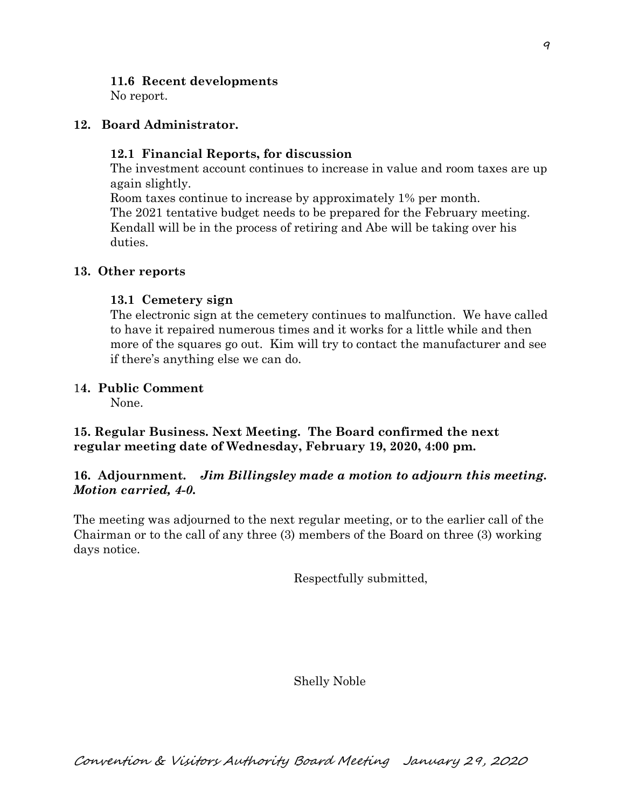### **11.6 Recent developments**

No report.

#### **12. Board Administrator.**

#### **12.1 Financial Reports, for discussion**

The investment account continues to increase in value and room taxes are up again slightly.

Room taxes continue to increase by approximately 1% per month. The 2021 tentative budget needs to be prepared for the February meeting. Kendall will be in the process of retiring and Abe will be taking over his duties.

### **13. Other reports**

### **13.1 Cemetery sign**

The electronic sign at the cemetery continues to malfunction. We have called to have it repaired numerous times and it works for a little while and then more of the squares go out. Kim will try to contact the manufacturer and see if there's anything else we can do.

### 1**4. Public Comment**

None.

# **15. Regular Business. Next Meeting. The Board confirmed the next regular meeting date of Wednesday, February 19, 2020, 4:00 pm.**

# **16. Adjournment.** *Jim Billingsley made a motion to adjourn this meeting. Motion carried, 4-0.*

The meeting was adjourned to the next regular meeting, or to the earlier call of the Chairman or to the call of any three (3) members of the Board on three (3) working days notice.

Respectfully submitted,

Shelly Noble